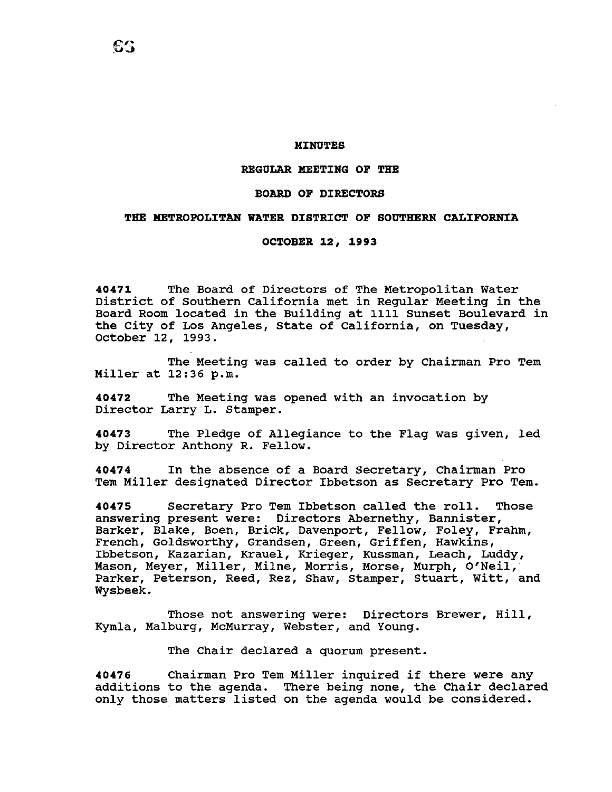### **MINUTES**

#### **REGULAR MEETING OF THE**

### **BOARD OF DIRECTORS**

# **THE METROPOLITAN WATER DISTRICT OF SOUTHERN CALIFORNIA**

## **OCTOBER 12, 1993**

**40471** The Board of Directors of The Metropolitan Water District of Southern California met *in* Regular Meeting *in* the Board Room located *in* the Building at 1111 Sunset Boulevard *in*  the City of Los Angeles, state of California, on Tuesday, October 12, 1993.

The Meeting was called to order by Chairman Pro Tem Miller at 12:36 p.m.

**40472** The Meeting was opened with an invocation by Director Larry L. Stamper.

**40473** The Pledge of Allegiance to the Flag was given, led by Director Anthony R. Fellow.

**40474** In the absence of a Board Secretary, Chairman Pro Tem Miller designated Director Ibbetson as Secretary Pro Tem.

40475 Secretary Pro Tem Ibbetson called the roll. Those answering present were: Directors Abernethy, Bannister, Barker, Blake, Boen, Brick, Davenport, Fellow, Foley, Frahm, French, Goldsworthy, Grandsen, Green, Griffen, Hawkins, Ibbetson, Kazarian, Krauel, Krieger, Kussman, Leach, Luddy, Mason, Meyer, Miller, Milne, Morris, Morse, Murph, O'Neil, Parker, Peterson, Reed, Rez, Shaw, Stamper, Stuart, Witt, and Wysbeek.

Those not answering were: Directors Brewer, Hill, Kymla, Malburg, McMurray, Webster, and Young.

The Chair declared a quorum present.

**<sup>40476</sup>**Chairman Pro Tem Miller inquired if there were any additions to the agenda. There being none, the Chair declared only those matters listed on the agenda would be considered.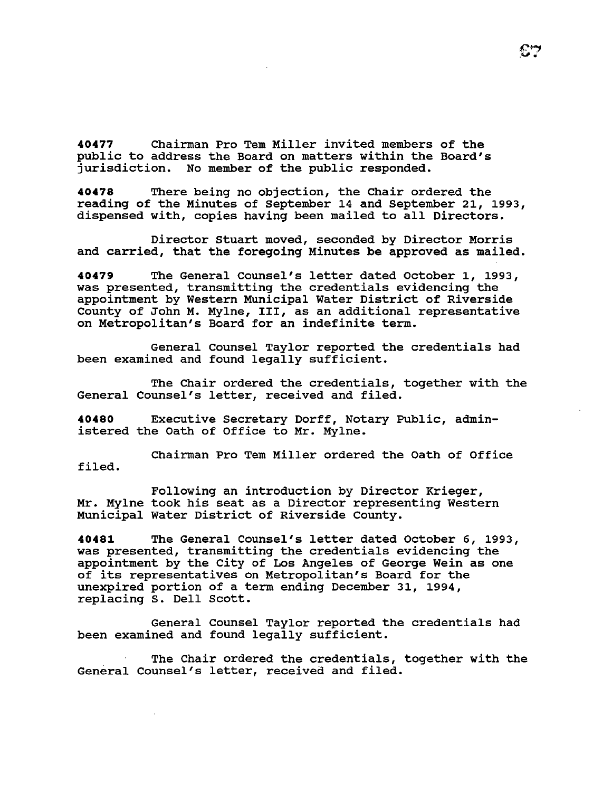**40477** Chairman Pro Tem Miller invited members of the public to address the Board on matters within the Board's jurisdiction. No member of the public responded.

**40478** There being no objection, the Chair ordered the reading of the Minutes of September 14 and September 21, 1993, dispensed with, copies having been mailed to all Directors.

Director stuart moved, seconded by Director Morris and carried, that the foregoing Minutes be approved as mailed.

**<sup>40479</sup>**The General Counsel's letter dated October 1, 1993, was presented, transmitting the credentials evidencing the appointment by Western Municipal Water District of Riverside county of John M. Mylne, III, as an additional representative on Metropolitan's Board for an indefinite term.

General Counsel Taylor reported the credentials had been examined and found legally sufficient.

The Chair ordered the credentials, together with the General Counsel's letter, received and filed.

**40480** Executive Secretary Dorff, Notary Public, administered the Oath of Office to Mr. Mylne.

Chairman Pro Tem Miller ordered the Oath of Office filed.

Following an introduction by Director Krieger, Mr. Mylne took his seat as a Director representing Western Municipal water District of Riverside County.

**40481** The General Counsel's letter dated October 6, 1993, was presented, transmitting the credentials evidencing the appointment by the City of Los Angeles of George Wein as one of its representatives on Metropolitan's Board for the unexpired portion of a term ending December 31, 1994, replacing s. Dell Scott.

General Counsel Taylor reported the credentials had been examined and found legally sufficient.

The Chair ordered the credentials, together with the General Counsel's letter, received and filed.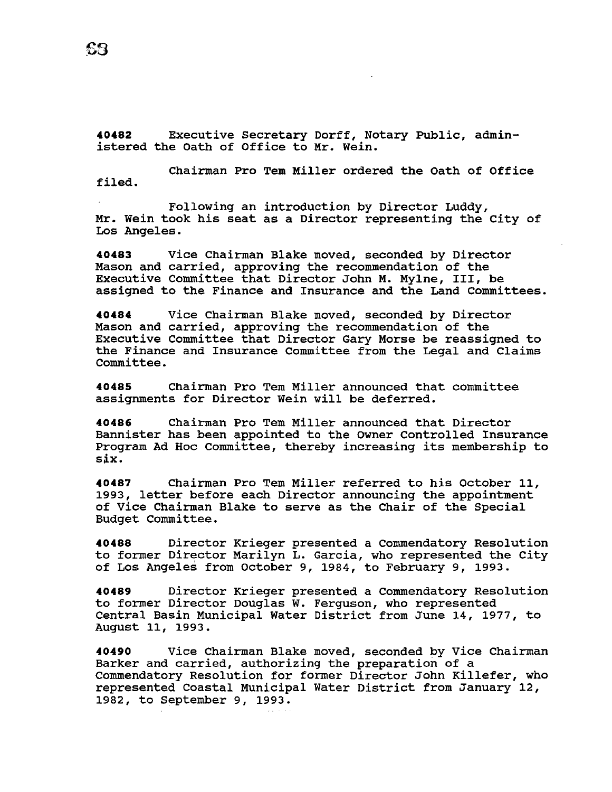**40482** Executive Secretary Dorff, Notary Public, administered the Oath of Office to Mr. Wein.

Chairman Pro Tem Miller ordered the Oath of Office filed.

Following an introduction by Director Luddy, Mr. Wein took his seat as a Director representing the City of Los Angeles.

**40483** Vice Chairman Blake moved, seconded by Director Mason and carried, approving the recommendation of the Executive Committee that Director John M. Mylne, III, be assigned to the Finance and Insurance and the Land Committees.

**40484** Vice Chairman Blake moved, seconded by Director Mason and carried, approving the recommendation of the Executive Committee that Director Gary Morse be reassigned to the Finance and Insurance Committee from the Legal and Claims Committee.

**40485** Chairman Pro Tem Miller announced that committee assignments for Director Wein will be deferred.

**40486** Chairman Pro Tem Miller announced that Director Bannister has been appointed to the owner Controlled Insurance Program Ad Hoc Committee, thereby increasing its membership to six.

**40487** Chairman Pro Tem Miller referred to his October 11, 1993, letter before each Director announcing the appointment of Vice Chairman Blake to serve as the Chair of the Special Budget Committee.

**40488** Director Krieger presented a Commendatory Resolution to former Director Marilyn L. Garcia, who represented the City of Los Angeles from October 9, 1984, to February 9, 1993.

**40489** Director Krieger presented a Commendatory Resolution to former Director Douglas W. Ferguson, who represented Central Basin Municipal Water District from June 14, 1977, to August 11, 1993.

**40490** Vice Chairman Blake moved, seconded by Vice Chairman Barker and carried, authorizing the preparation of a Commendatory Resolution for former Director John Killefer, who represented Coastal Municipal Water District from January 12, 1982, to September 9, 1993.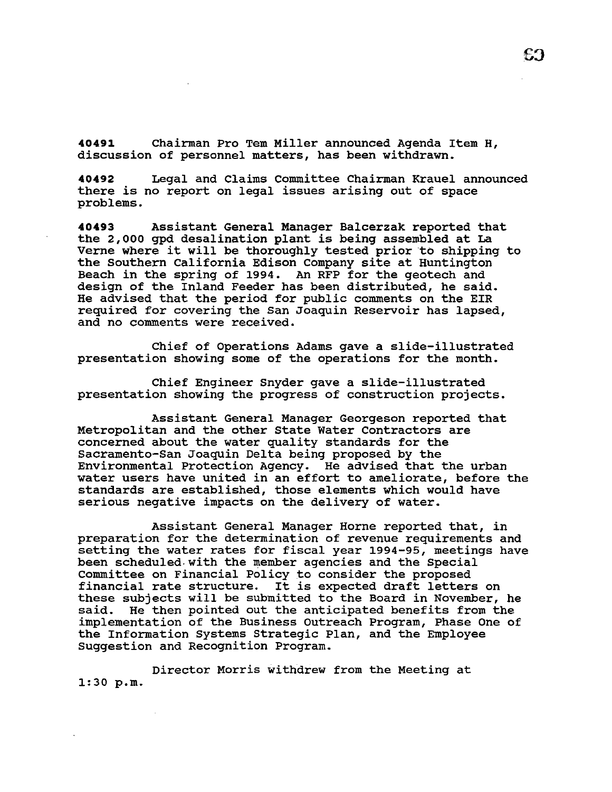**40491** Chairman Pro Tem Miller announced Agenda Item H, discussion of personnel matters, has been withdrawn.

**40492** Legal and Claims Committee Chairman Krauel announced there is no report on legal issues arising out of space problems.

**40493** Assistant General Manager Balcerzak reported that the 2,000 gpd desalination plant is being assembled at La Verne where it will be thoroughly tested prior to shipping to the Southern California Edison company site at Huntington Beach in the spring of 1994. An RFP for the geotech and design of the Inland Feeder has been distributed, he said. He advised that the period for public comments on the EIR required for covering the san Joaquin Reservoir has lapsed, and no comments were received.

Chief of Operations Adams gave a slide-illustrated presentation showing some of the operations for the month.

Chief Engineer snyder gave a slide-illustrated presentation showing the progress of construction projects.

Assistant General Manager Georgeson reported that Metropolitan and the other State water Contractors are concerned about the water quality standards for the Sacramento-San Joaquin Delta being proposed by the Environmental Protection Agency. He advised that the urban water users have united in an effort to ameliorate, before the standards are established, those elements which would have serious negative impacts on the delivery of water.

Assistant General Manager Horne reported that, in preparation for the determination of revenue requirements and setting the water rates for fiscal year 1994-95, meetings have been scheduled-with the member agencies and the Special Committee on Financial Policy to consider the proposed financial rate structure. It is expected draft letters on these subjects will be submitted to the Board in November, he said. He then pointed out the anticipated benefits from the He then pointed out the anticipated benefits from the implementation of the Business Outreach Program, Phase One of the Information Systems Strategic Plan, and the Employee Suggestion and Recognition Program.

Director Morris withdrew from the Meeting at 1:30 p.m.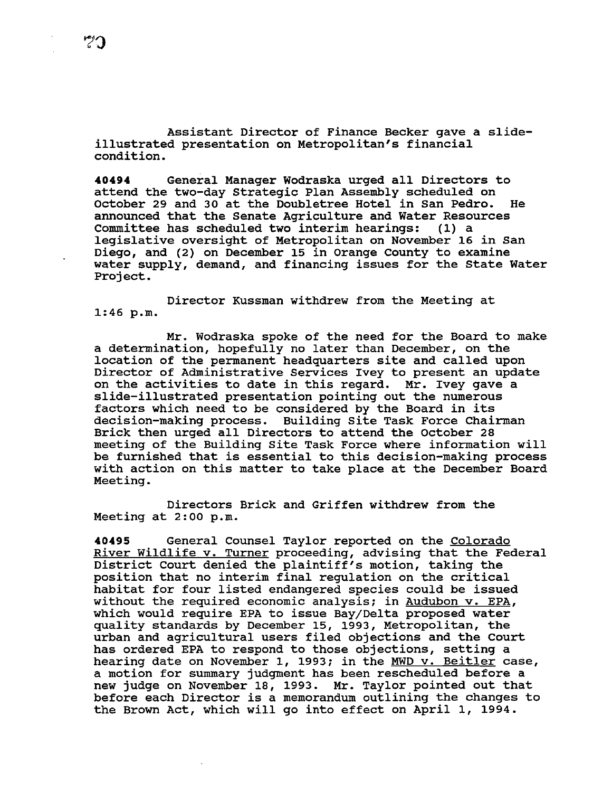Assistant Director of Finance Becker gave a slideillustrated presentation on Metropolitan's financial condition.

**<sup>40494</sup>**General Manager Wodraska urged all Directors to attend the two-day Strategic Plan Assembly scheduled on October 29 and 30 at the Doubletree Hotel in San Pedro. He announced that the Senate Agriculture and Water Resources Committee has scheduled two interim hearings: legislative oversight of Metropolitan on November 16 in San Diego, and (2) on December 15 in Orange County to examine water supply, demand, and financing issues for the State Water Project.

Director Kussman withdrew from the Meeting at 1:46 p.m.

Mr. Wodraska spoke of the need for the Board to make a determination, hopefully no later than December, on the location of the permanent headquarters site and called upon Director of Administrative Services Ivey to present an update on the activities to date in this regard. Mr. Ivey gave a slide-illustrated presentation pointing out the numerous factors which need to be considered by the Board in its decision-making process. Building Site Task Force Chairman Brick then urged all Directors to attend the October 28 meeting of the Building Site Task Force where information will be furnished that is essential to this decision-making process with action on this matter to take place at the December Board Meeting.

Directors Brick and Griffen withdrew from the Meeting at 2:00 p.m.

**40495** General Counsel Taylor reported on the Colorado River Wildlife v. Turner proceeding, advising that the Federal District Court denied the plaintiff's motion, taking the position that no interim final regulation on the critical habitat for four listed endangered species could be issued without the required economic analysis; in Audubon v. EPA, which would require EPA to issue Bay/Delta proposed water quality standards by December 15, 1993, Metropolitan, the urban and agricultural users filed objections and the Court has ordered EPA to respond to those objections, setting a hearing date on November 1, 1993; in the MWD v. Beitler case, a motion for summary judgment has been rescheduled before a new judge on November 18, 1993. Mr. Taylor pointed out that before each Director is a memorandum outlining the changes to the Brown Act, which will go into effect on April 1, 1994.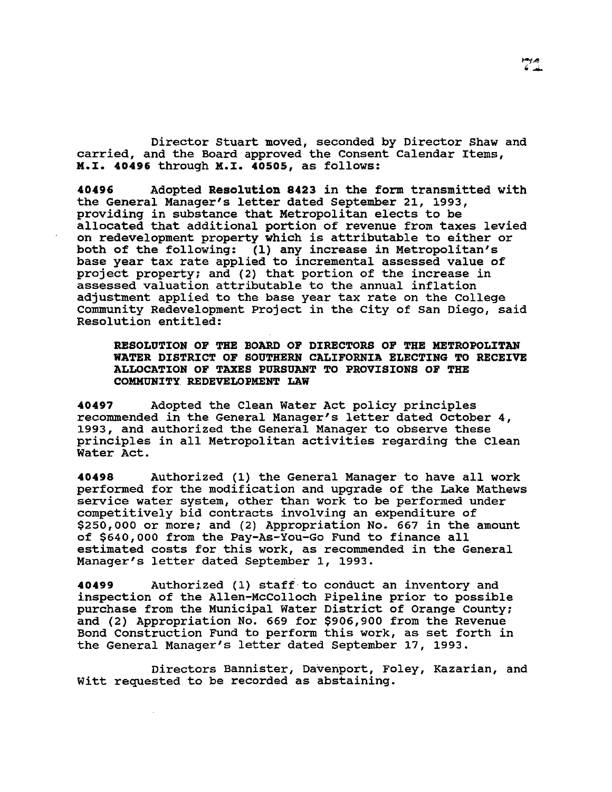Director Stuart moved, seconded by Director Shaw and carried, and the Board approved the Consent Calendar Items, M.X. 40496 through M.X. 40505, as follows:

40496 Adopted Resolution 8423 in the form transmitted with the General Manager's letter dated September 21, 1993, providing in substance that Metropolitan elects to be allocated that additional portion of revenue from taxes levied on redevelopment property which is attributable to either or both of the following: (1) any increase in Metropolitan's base year tax rate applied to incremental assessed value of project property; and (2) that portion of the increase in assessed valuation attributable to the annual inflation adjustment applied to the base year tax rate on the College Community Redevelopment Project in the City of San Diego, said Resolution entitled:

RESOLUTION OF THE BOARD OF DIRECTORS OF THE METROPOLITAN WATER DISTRICT OF SOUTHERN CALIFORNIA ELECTING TO RECEIVE ALLOCATION OF TAXES PURSUANT TO PROVISIONS OF THE COMMUNITY REDEVELOPMENT LAW

40497 Adopted the Clean Water Act policy principles recommended in the General Manager's letter dated October 4, 1993, and authorized the General Manager to observe these principles in all Metropolitan activities regarding the Clean Water Act.

40498 Authorized (1) the General Manager to have all work performed for the modification and upgrade of the Lake Mathews service water system, other than work to be performed under competitively bid contracts involving an expenditure of \$250,000 or more; and (2) Appropriation No. 667 in the amount of \$640,000 from the Pay-As-You-Go Fund to finance all estimated costs for this work, as recommended in the General Manager's letter dated September 1, 1993.

40499 Authorized (1) staff to conduct an inventory and inspection of the Allen-McColloch Pipeline prior to possible purchase from the Municipal Water District of Orange County; and (2) Appropriation No. 669 for \$906,900 from the Revenue Bond Construction Fund to perform this work, as set forth in the General Manager's letter dated September 17, 1993.

Directors Bannister, Davenport, Foley, Kazarian, and Witt requested to be recorded as abstaining.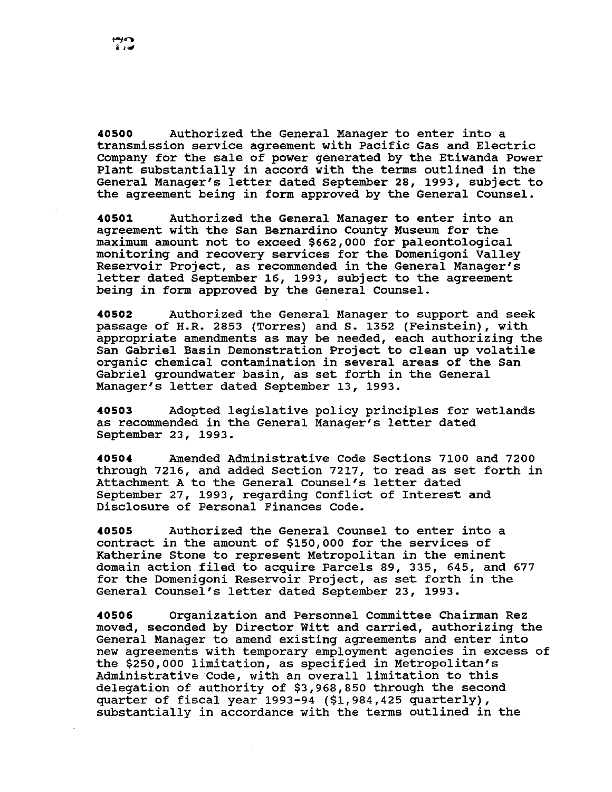**40500** Authorized the General Manager to enter into a transmission service agreement with Pacific Gas and Electric Company for the sale of power generated by the Etiwanda Power Plant substantially in accord with the terms outlined in the General Manager's letter dated September 28, 1993, subject to the agreement being in form approved by the General Counsel.

40501 • Authorized the General Manager to enter into an agreement with the San Bernardino County Museum for the maximum amount not to exceed \$662,000 for paleontological monitoring and recovery services for the Domenigoni Valley Reservoir Project, as recommended in the General Manager's letter dated September 16, 1993, subject to the agreement being in form approved by the General counsel.

**40502** Authorized the General Manager to support and seek passage of H.R. 2853 (Torres) and s. 1352 (Feinstein), with appropriate amendments as may be needed, each authorizing the San Gabriel Basin Demonstration Project to clean up volatile organic chemical contamination in several areas of the San Gabriel groundwater basin, as set forth in the General Manager's letter dated September 13, 1993.

**40503** Adopted legislative policy principles for wetlands as recommended in the General Manager's letter dated September 23, 1993.

**40504** Amended Administrative Code Sections 7100 and 7200 through 7216, and added Section 7217, to read as set forth in Attachment A to the General Counsel's letter dated September 27, 1993, regarding Conflict of Interest and Disclosure of Personal Finances Code.

**40505** Authorized the General Counsel to enter into a contract in the amount of \$150,000 for the services of Katherine Stone to represent Metropolitan in the eminent domain action filed to acquire Parcels 89, 335, 645, and 677 for the Domenigoni Reservoir Project, as set forth in the General Counsel's letter dated September 23, 1993.

**40506** Organization and Personnel Committee Chairman Rez moved, seconded by Director Witt and carried, authorizing the General Manager to amend existing agreements and enter into new agreements with temporary employment agencies in excess of the \$250,000 limitation, as specified in Metropolitan's Administrative Code, with an overall limitation to this delegation of authority of \$3,968,850 through the second quarter of fiscal year 1993-94 (\$1,984,425 quarterly), substantially in accordance with the terms outlined in the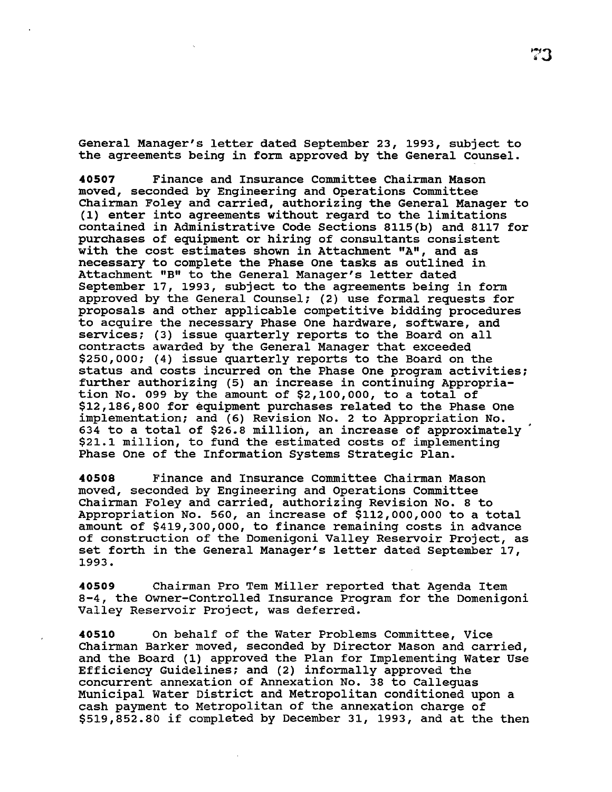General Manager's letter dated September 23, 1993, subject to the agreements being in form approved by the General Counsel.

**40507** Finance and Insurance Committee Chairman Mason moved, seconded by Engineering and Operations Committee Chairman Foley and carried, authorizing the General Manager to (1) enter into agreements without regard to the limitations contained in Administrative Code Sections 8115(b) and 8117 for purchases of equipment or hiring of consultants consistent with the cost estimates shown in Attachment "A", and as necessary to complete the Phase One tasks as outlined in Attachment "B" to the General Manager's letter dated September 17, 1993, subject to the agreements being in form approved by the General Counsel; (2) use formal requests for proposals and other applicable competitive bidding procedures to acquire the necessary Phase One hardware, software, and services; (3) issue quarterly reports to the Board on all contracts awarded by the General Manager that exceeded \$250,000; (4) issue quarterly reports to the Board on the status and costs incurred on the Phase one program activities; further authorizing (5) an increase in continuing Appropriation No. 099 by the amount of \$2,100,000, to a total of \$12,186,800 for equipment purchases related to the Phase One implementation; and (6) Revision No. 2 to Appropriation No. 634 to a total of \$26.8 million, an increase of approximately \$21.1 million, to fund the estimated costs of implementing Phase One of the Information Systems Strategic Plan.

**40508** Finance and Insurance Committee Chairman Mason moved, seconded by Engineering and Operations Committee Chairman Foley and carried, authorizing Revision No. 8 to Appropriation No. 560, an increase of \$112,000,000 to a total amount of \$419,300,000, to finance remaining costs in advance of construction of the Domenigoni Valley Reservoir Project, as set forth in the General Manager's letter dated September 17, 1993.

**40509** Chairman Pro Tern Miller reported that Agenda Item 8-4, the Owner-Controlled Insurance Program for the Domenigoni Valley Reservoir Project, was deferred.

**40510** On behalf of the Water Problems Committee, Vice Chairman Barker moved, seconded by Director Mason and carried, and the Board (1) approved the Plan for Implementing Water Use Efficiency Guidelines; and (2) informally approved the concurrent annexation of Annexation No. 38 to Calleguas Municipal Water District and Metropolitan conditioned upon a cash payment to Metropolitan of the annexation charge of \$519,852.80 if completed by December 31, 1993, and at the then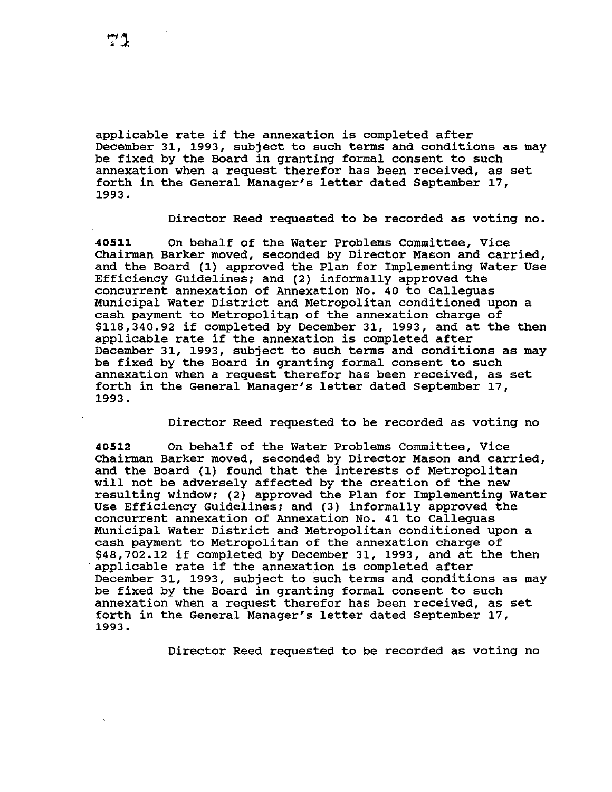applicable rate if the annexation is completed after December 31, 1993, subject to such terms and conditions as may be fixed by the Board in granting formal consent to such annexation when a request therefor has been received, as set forth in the General Manager's letter dated September 17, 1993.

Director Reed requested to be recorded as voting no.

**40511** On behalf of the Water Problems Committee, Vice Chairman Barker moved, seconded by Director Mason and carried, and the Board (1) approved the Plan for Implementing Water Use Efficiency Guidelines; and (2) informally approved the concurrent annexation of Annexation No. 40 to Calleguas Municipal Water District and Metropolitan conditioned upon a cash payment to Metropolitan of the annexation charge of \$118,340.92 if completed by December 31, 1993, and at the then applicable rate if the annexation is completed after December 31, 1993, subject to such terms and conditions as may be fixed by the Board in granting formal consent to such annexation when a request therefor has been received, as set forth in the General Manager's letter dated September 17, 1993.

Director Reed requested to be recorded as voting no

**40512** On behalf of the Water Problems Committee, Vice Chairman Barker moved, seconded by Director Mason and carried, and the Board (1) found that the interests of Metropolitan will not be adversely affected by the creation of the new resulting window; (2) approved the Plan for Implementing Water Use Efficiency Guidelines; and (3) informally approved the concurrent annexation of Annexation No. 41 to Calleguas Municipal Water District and Metropolitan conditioned upon a cash payment to Metropolitan of the annexation charge of \$48,702.12 if completed by December 31, 1993, and at the then applicable rate if the annexation is completed after December 31, 1993, subject to such terms and conditions as may be fixed by the Board in granting formal consent to such annexation when a request therefor has been received, as set forth in the General Manager's letter dated September 17, 1993.

Director Reed requested to be recorded as voting no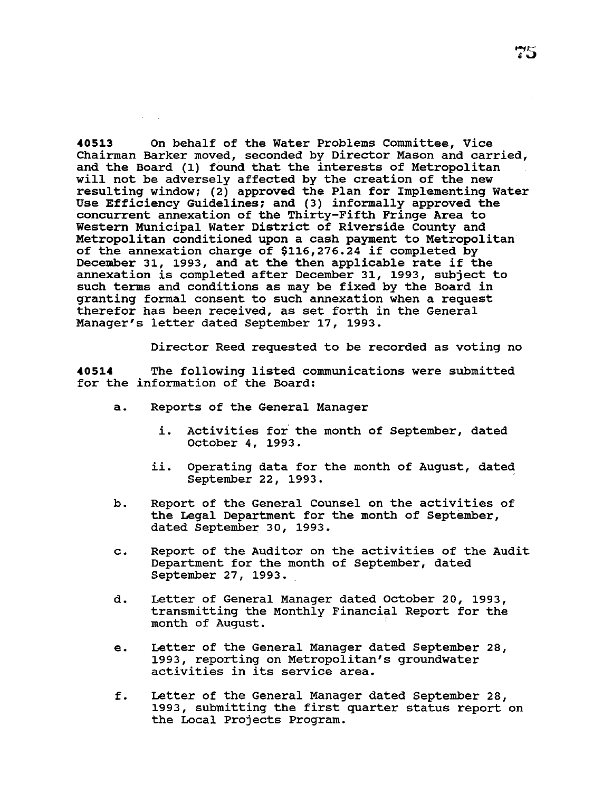**40513** On behalf of the Water Problems Committee, Vice Chairman Barker moved, seconded by Director Mason and carried, and the Board (1) found that the interests of Metropolitan will not be adversely affected by the creation of the new resulting window; (2) approved the Plan for Implementing water Use Efficiency Guidelines; and (3) informally approved the concurrent annexation of the Thirty-Fifth Fringe Area to Western Municipal Water District of Riverside County and Metropolitan conditioned upon a cash payment to Metropolitan of the annexation charge of \$116,276.24 if completed by December 31, 1993, and at the then applicable rate if the annexation is completed after December 31, 1993, subject to such terms and conditions as may be fixed by the Board in granting formal consent to such annexation when a request therefor has been received, as set forth in the General Manager's letter dated September 17, 1993.

Director Reed requested to be recorded as voting no

**40514** The following listed communications were submitted for the information of the Board:

- a. Reports of the General Manager
	- i. Activities for the month of September, dated October 4, 1993.
	- ii. Operating data for the month of August, dated September 22, 1993.
- b. Report of the General Counsel on the activities of the Legal Department for the month of September, dated September 30, 1993.
- c. Report of the Auditor on the activities of the Audit Department for the month of September, dated September 27, 1993.
- d. Letter of General Manager dated October 20, 1993, transmitting the Monthly Financial Report for the month of August. <sup>1</sup>
- e. Letter of the General Manager dated September 28, 1993, reporting on Metropolitan's groundwater activities in its service area.
- f. Letter of the General Manager dated September 28, 1993, submitting the first quarter status report on the Local Projects Program.